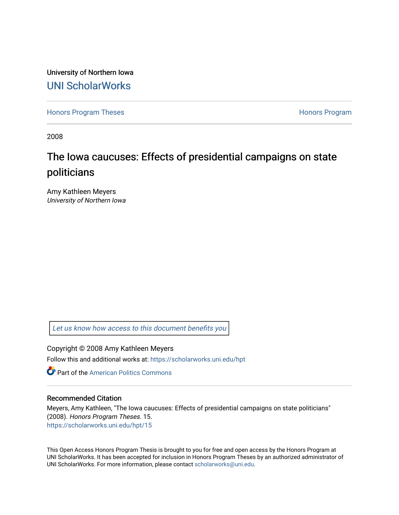University of Northern Iowa [UNI ScholarWorks](https://scholarworks.uni.edu/) 

[Honors Program Theses](https://scholarworks.uni.edu/hpt) **Honors Program** Honors Program

2008

# The Iowa caucuses: Effects of presidential campaigns on state politicians

Amy Kathleen Meyers University of Northern Iowa

[Let us know how access to this document benefits you](https://scholarworks.uni.edu/feedback_form.html) 

Copyright © 2008 Amy Kathleen Meyers Follow this and additional works at: [https://scholarworks.uni.edu/hpt](https://scholarworks.uni.edu/hpt?utm_source=scholarworks.uni.edu%2Fhpt%2F15&utm_medium=PDF&utm_campaign=PDFCoverPages) 

**Part of the American Politics Commons** 

## Recommended Citation

Meyers, Amy Kathleen, "The Iowa caucuses: Effects of presidential campaigns on state politicians" (2008). Honors Program Theses. 15. [https://scholarworks.uni.edu/hpt/15](https://scholarworks.uni.edu/hpt/15?utm_source=scholarworks.uni.edu%2Fhpt%2F15&utm_medium=PDF&utm_campaign=PDFCoverPages)

This Open Access Honors Program Thesis is brought to you for free and open access by the Honors Program at UNI ScholarWorks. It has been accepted for inclusion in Honors Program Theses by an authorized administrator of UNI ScholarWorks. For more information, please contact [scholarworks@uni.edu.](mailto:scholarworks@uni.edu)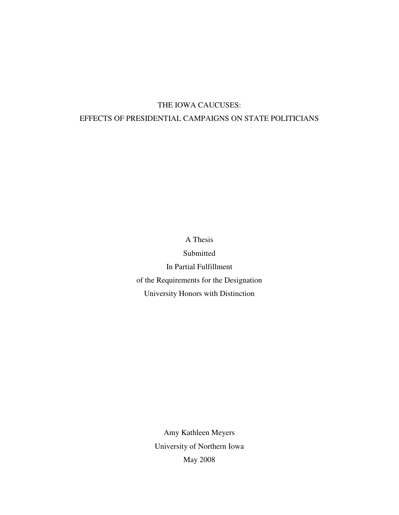## THE IOWA CAUCUSES: EFFECTS OF PRESIDENTIAL CAMPAIGNS ON STATE POLITICIANS

A Thesis Submitted In Partial Fulfillment of the Requirements for the Designation University Honors with Distinction

> Amy Kathleen Meyers University of Northern Iowa May 2008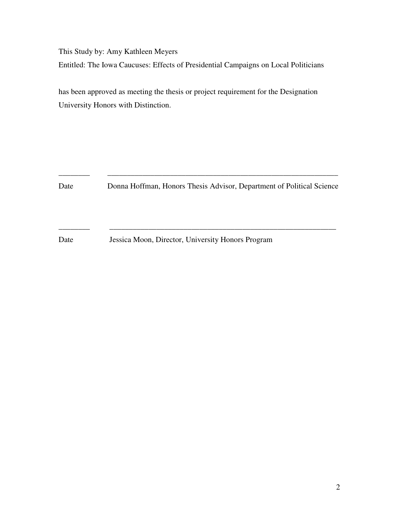This Study by: Amy Kathleen Meyers

Entitled: The Iowa Caucuses: Effects of Presidential Campaigns on Local Politicians

has been approved as meeting the thesis or project requirement for the Designation University Honors with Distinction.

\_\_\_\_\_\_\_\_ \_\_\_\_\_\_\_\_\_\_\_\_\_\_\_\_\_\_\_\_\_\_\_\_\_\_\_\_\_\_\_\_\_\_\_\_\_\_\_\_\_\_\_\_\_\_\_\_\_\_\_\_\_\_\_\_\_\_\_ Date Donna Hoffman, Honors Thesis Advisor, Department of Political Science

\_\_\_\_\_\_\_\_ \_\_\_\_\_\_\_\_\_\_\_\_\_\_\_\_\_\_\_\_\_\_\_\_\_\_\_\_\_\_\_\_\_\_\_\_\_\_\_\_\_\_\_\_\_\_\_\_\_\_\_\_\_\_\_\_\_\_

Date Jessica Moon, Director, University Honors Program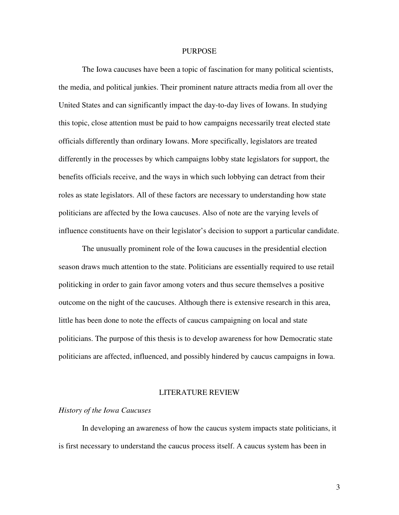#### PURPOSE

The Iowa caucuses have been a topic of fascination for many political scientists, the media, and political junkies. Their prominent nature attracts media from all over the United States and can significantly impact the day-to-day lives of Iowans. In studying this topic, close attention must be paid to how campaigns necessarily treat elected state officials differently than ordinary Iowans. More specifically, legislators are treated differently in the processes by which campaigns lobby state legislators for support, the benefits officials receive, and the ways in which such lobbying can detract from their roles as state legislators. All of these factors are necessary to understanding how state politicians are affected by the Iowa caucuses. Also of note are the varying levels of influence constituents have on their legislator's decision to support a particular candidate.

The unusually prominent role of the Iowa caucuses in the presidential election season draws much attention to the state. Politicians are essentially required to use retail politicking in order to gain favor among voters and thus secure themselves a positive outcome on the night of the caucuses. Although there is extensive research in this area, little has been done to note the effects of caucus campaigning on local and state politicians. The purpose of this thesis is to develop awareness for how Democratic state politicians are affected, influenced, and possibly hindered by caucus campaigns in Iowa.

#### LITERATURE REVIEW

#### *History of the Iowa Caucuses*

 In developing an awareness of how the caucus system impacts state politicians, it is first necessary to understand the caucus process itself. A caucus system has been in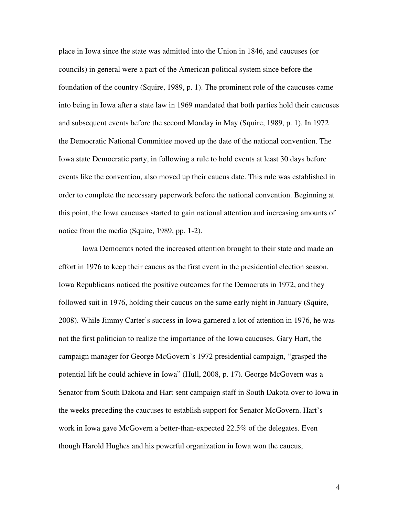place in Iowa since the state was admitted into the Union in 1846, and caucuses (or councils) in general were a part of the American political system since before the foundation of the country (Squire, 1989, p. 1). The prominent role of the caucuses came into being in Iowa after a state law in 1969 mandated that both parties hold their caucuses and subsequent events before the second Monday in May (Squire, 1989, p. 1). In 1972 the Democratic National Committee moved up the date of the national convention. The Iowa state Democratic party, in following a rule to hold events at least 30 days before events like the convention, also moved up their caucus date. This rule was established in order to complete the necessary paperwork before the national convention. Beginning at this point, the Iowa caucuses started to gain national attention and increasing amounts of notice from the media (Squire, 1989, pp. 1-2).

 Iowa Democrats noted the increased attention brought to their state and made an effort in 1976 to keep their caucus as the first event in the presidential election season. Iowa Republicans noticed the positive outcomes for the Democrats in 1972, and they followed suit in 1976, holding their caucus on the same early night in January (Squire, 2008). While Jimmy Carter's success in Iowa garnered a lot of attention in 1976, he was not the first politician to realize the importance of the Iowa caucuses. Gary Hart, the campaign manager for George McGovern's 1972 presidential campaign, "grasped the potential lift he could achieve in Iowa" (Hull, 2008, p. 17). George McGovern was a Senator from South Dakota and Hart sent campaign staff in South Dakota over to Iowa in the weeks preceding the caucuses to establish support for Senator McGovern. Hart's work in Iowa gave McGovern a better-than-expected 22.5% of the delegates. Even though Harold Hughes and his powerful organization in Iowa won the caucus,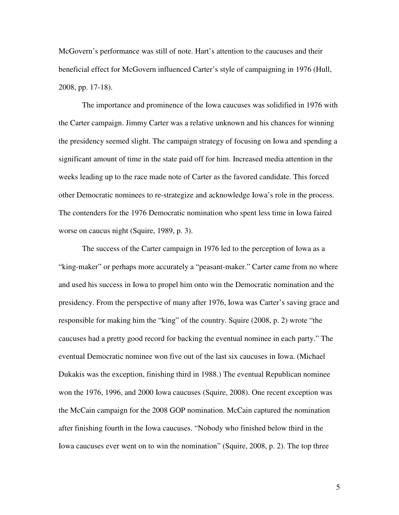McGovern's performance was still of note. Hart's attention to the caucuses and their beneficial effect for McGovern influenced Carter's style of campaigning in 1976 (Hull, 2008, pp. 17-18).

The importance and prominence of the Iowa caucuses was solidified in 1976 with the Carter campaign. Jimmy Carter was a relative unknown and his chances for winning the presidency seemed slight. The campaign strategy of focusing on Iowa and spending a significant amount of time in the state paid off for him. Increased media attention in the weeks leading up to the race made note of Carter as the favored candidate. This forced other Democratic nominees to re-strategize and acknowledge Iowa's role in the process. The contenders for the 1976 Democratic nomination who spent less time in Iowa faired worse on caucus night (Squire, 1989, p. 3).

 The success of the Carter campaign in 1976 led to the perception of Iowa as a "king-maker" or perhaps more accurately a "peasant-maker." Carter came from no where and used his success in Iowa to propel him onto win the Democratic nomination and the presidency. From the perspective of many after 1976, Iowa was Carter's saving grace and responsible for making him the "king" of the country. Squire (2008, p. 2) wrote "the caucuses had a pretty good record for backing the eventual nominee in each party." The eventual Democratic nominee won five out of the last six caucuses in Iowa. (Michael Dukakis was the exception, finishing third in 1988.) The eventual Republican nominee won the 1976, 1996, and 2000 Iowa caucuses (Squire, 2008). One recent exception was the McCain campaign for the 2008 GOP nomination. McCain captured the nomination after finishing fourth in the Iowa caucuses. "Nobody who finished below third in the Iowa caucuses ever went on to win the nomination" (Squire, 2008, p. 2). The top three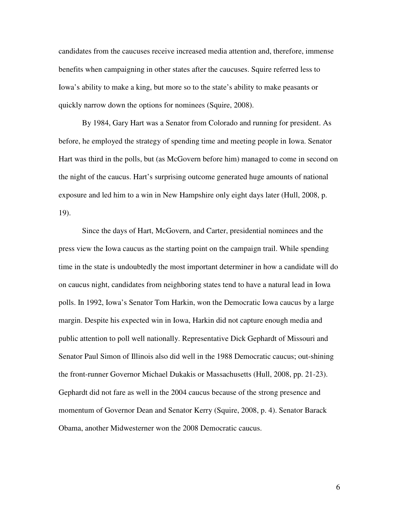candidates from the caucuses receive increased media attention and, therefore, immense benefits when campaigning in other states after the caucuses. Squire referred less to Iowa's ability to make a king, but more so to the state's ability to make peasants or quickly narrow down the options for nominees (Squire, 2008).

 By 1984, Gary Hart was a Senator from Colorado and running for president. As before, he employed the strategy of spending time and meeting people in Iowa. Senator Hart was third in the polls, but (as McGovern before him) managed to come in second on the night of the caucus. Hart's surprising outcome generated huge amounts of national exposure and led him to a win in New Hampshire only eight days later (Hull, 2008, p. 19).

Since the days of Hart, McGovern, and Carter, presidential nominees and the press view the Iowa caucus as the starting point on the campaign trail. While spending time in the state is undoubtedly the most important determiner in how a candidate will do on caucus night, candidates from neighboring states tend to have a natural lead in Iowa polls. In 1992, Iowa's Senator Tom Harkin, won the Democratic Iowa caucus by a large margin. Despite his expected win in Iowa, Harkin did not capture enough media and public attention to poll well nationally. Representative Dick Gephardt of Missouri and Senator Paul Simon of Illinois also did well in the 1988 Democratic caucus; out-shining the front-runner Governor Michael Dukakis or Massachusetts (Hull, 2008, pp. 21-23). Gephardt did not fare as well in the 2004 caucus because of the strong presence and momentum of Governor Dean and Senator Kerry (Squire, 2008, p. 4). Senator Barack Obama, another Midwesterner won the 2008 Democratic caucus.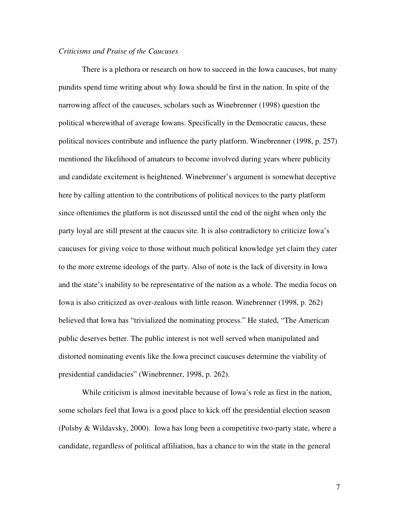#### *Criticisms and Praise of the Caucuses*

There is a plethora or research on how to succeed in the Iowa caucuses, but many pundits spend time writing about why Iowa should be first in the nation. In spite of the narrowing affect of the caucuses, scholars such as Winebrenner (1998) question the political wherewithal of average Iowans. Specifically in the Democratic caucus, these political novices contribute and influence the party platform. Winebrenner (1998, p. 257) mentioned the likelihood of amateurs to become involved during years where publicity and candidate excitement is heightened. Winebrenner's argument is somewhat deceptive here by calling attention to the contributions of political novices to the party platform since oftentimes the platform is not discussed until the end of the night when only the party loyal are still present at the caucus site. It is also contradictory to criticize Iowa's caucuses for giving voice to those without much political knowledge yet claim they cater to the more extreme ideologs of the party. Also of note is the lack of diversity in Iowa and the state's inability to be representative of the nation as a whole. The media focus on Iowa is also criticized as over-zealous with little reason. Winebrenner (1998, p. 262) believed that Iowa has "trivialized the nominating process." He stated, "The American public deserves better. The public interest is not well served when manipulated and distorted nominating events like the Iowa precinct caucuses determine the viability of presidential candidacies" (Winebrenner, 1998, p. 262).

While criticism is almost inevitable because of Iowa's role as first in the nation, some scholars feel that Iowa is a good place to kick off the presidential election season (Polsby & Wildavsky, 2000). Iowa has long been a competitive two-party state, where a candidate, regardless of political affiliation, has a chance to win the state in the general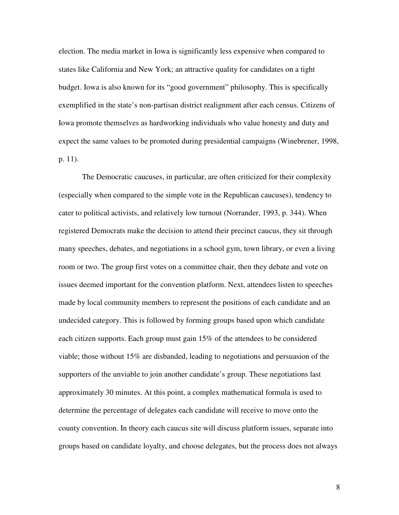election. The media market in Iowa is significantly less expensive when compared to states like California and New York; an attractive quality for candidates on a tight budget. Iowa is also known for its "good government" philosophy. This is specifically exemplified in the state's non-partisan district realignment after each census. Citizens of Iowa promote themselves as hardworking individuals who value honesty and duty and expect the same values to be promoted during presidential campaigns (Winebrener, 1998, p. 11).

The Democratic caucuses, in particular, are often criticized for their complexity (especially when compared to the simple vote in the Republican caucuses), tendency to cater to political activists, and relatively low turnout (Norrander, 1993, p. 344). When registered Democrats make the decision to attend their precinct caucus, they sit through many speeches, debates, and negotiations in a school gym, town library, or even a living room or two. The group first votes on a committee chair, then they debate and vote on issues deemed important for the convention platform. Next, attendees listen to speeches made by local community members to represent the positions of each candidate and an undecided category. This is followed by forming groups based upon which candidate each citizen supports. Each group must gain 15% of the attendees to be considered viable; those without 15% are disbanded, leading to negotiations and persuasion of the supporters of the unviable to join another candidate's group. These negotiations last approximately 30 minutes. At this point, a complex mathematical formula is used to determine the percentage of delegates each candidate will receive to move onto the county convention. In theory each caucus site will discuss platform issues, separate into groups based on candidate loyalty, and choose delegates, but the process does not always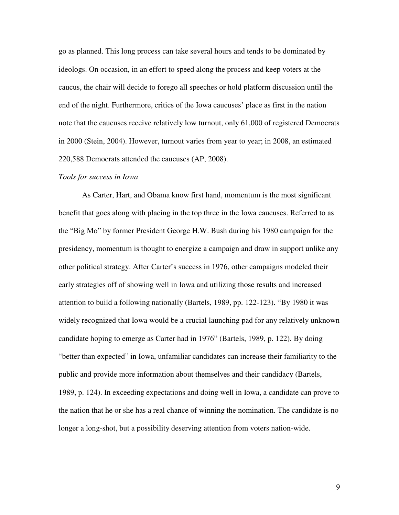go as planned. This long process can take several hours and tends to be dominated by ideologs. On occasion, in an effort to speed along the process and keep voters at the caucus, the chair will decide to forego all speeches or hold platform discussion until the end of the night. Furthermore, critics of the Iowa caucuses' place as first in the nation note that the caucuses receive relatively low turnout, only 61,000 of registered Democrats in 2000 (Stein, 2004). However, turnout varies from year to year; in 2008, an estimated 220,588 Democrats attended the caucuses (AP, 2008).

#### *Tools for success in Iowa*

As Carter, Hart, and Obama know first hand, momentum is the most significant benefit that goes along with placing in the top three in the Iowa caucuses. Referred to as the "Big Mo" by former President George H.W. Bush during his 1980 campaign for the presidency, momentum is thought to energize a campaign and draw in support unlike any other political strategy. After Carter's success in 1976, other campaigns modeled their early strategies off of showing well in Iowa and utilizing those results and increased attention to build a following nationally (Bartels, 1989, pp. 122-123). "By 1980 it was widely recognized that Iowa would be a crucial launching pad for any relatively unknown candidate hoping to emerge as Carter had in 1976" (Bartels, 1989, p. 122). By doing "better than expected" in Iowa, unfamiliar candidates can increase their familiarity to the public and provide more information about themselves and their candidacy (Bartels, 1989, p. 124). In exceeding expectations and doing well in Iowa, a candidate can prove to the nation that he or she has a real chance of winning the nomination. The candidate is no longer a long-shot, but a possibility deserving attention from voters nation-wide.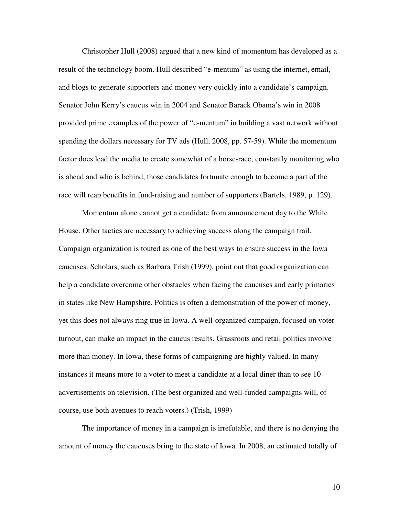Christopher Hull (2008) argued that a new kind of momentum has developed as a result of the technology boom. Hull described "e-mentum" as using the internet, email, and blogs to generate supporters and money very quickly into a candidate's campaign. Senator John Kerry's caucus win in 2004 and Senator Barack Obama's win in 2008 provided prime examples of the power of "e-mentum" in building a vast network without spending the dollars necessary for TV ads (Hull, 2008, pp. 57-59). While the momentum factor does lead the media to create somewhat of a horse-race, constantly monitoring who is ahead and who is behind, those candidates fortunate enough to become a part of the race will reap benefits in fund-raising and number of supporters (Bartels, 1989, p. 129).

 Momentum alone cannot get a candidate from announcement day to the White House. Other tactics are necessary to achieving success along the campaign trail. Campaign organization is touted as one of the best ways to ensure success in the Iowa caucuses. Scholars, such as Barbara Trish (1999), point out that good organization can help a candidate overcome other obstacles when facing the caucuses and early primaries in states like New Hampshire. Politics is often a demonstration of the power of money, yet this does not always ring true in Iowa. A well-organized campaign, focused on voter turnout, can make an impact in the caucus results. Grassroots and retail politics involve more than money. In Iowa, these forms of campaigning are highly valued. In many instances it means more to a voter to meet a candidate at a local diner than to see 10 advertisements on television. (The best organized and well-funded campaigns will, of course, use both avenues to reach voters.) (Trish, 1999)

The importance of money in a campaign is irrefutable, and there is no denying the amount of money the caucuses bring to the state of Iowa. In 2008, an estimated totally of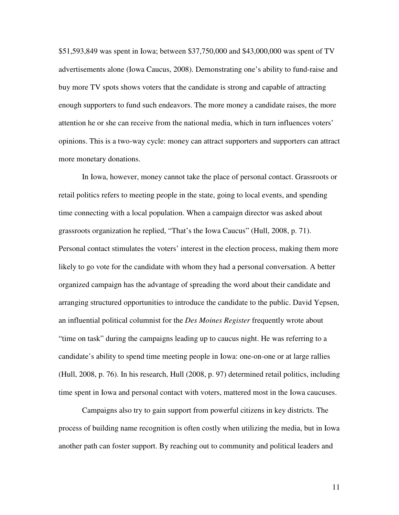\$51,593,849 was spent in Iowa; between \$37,750,000 and \$43,000,000 was spent of TV advertisements alone (Iowa Caucus, 2008). Demonstrating one's ability to fund-raise and buy more TV spots shows voters that the candidate is strong and capable of attracting enough supporters to fund such endeavors. The more money a candidate raises, the more attention he or she can receive from the national media, which in turn influences voters' opinions. This is a two-way cycle: money can attract supporters and supporters can attract more monetary donations.

In Iowa, however, money cannot take the place of personal contact. Grassroots or retail politics refers to meeting people in the state, going to local events, and spending time connecting with a local population. When a campaign director was asked about grassroots organization he replied, "That's the Iowa Caucus" (Hull, 2008, p. 71). Personal contact stimulates the voters' interest in the election process, making them more likely to go vote for the candidate with whom they had a personal conversation. A better organized campaign has the advantage of spreading the word about their candidate and arranging structured opportunities to introduce the candidate to the public. David Yepsen, an influential political columnist for the *Des Moines Register* frequently wrote about "time on task" during the campaigns leading up to caucus night. He was referring to a candidate's ability to spend time meeting people in Iowa: one-on-one or at large rallies (Hull, 2008, p. 76). In his research, Hull (2008, p. 97) determined retail politics, including time spent in Iowa and personal contact with voters, mattered most in the Iowa caucuses.

Campaigns also try to gain support from powerful citizens in key districts. The process of building name recognition is often costly when utilizing the media, but in Iowa another path can foster support. By reaching out to community and political leaders and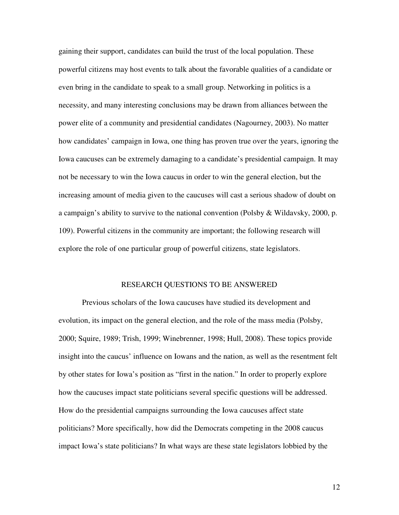gaining their support, candidates can build the trust of the local population. These powerful citizens may host events to talk about the favorable qualities of a candidate or even bring in the candidate to speak to a small group. Networking in politics is a necessity, and many interesting conclusions may be drawn from alliances between the power elite of a community and presidential candidates (Nagourney, 2003). No matter how candidates' campaign in Iowa, one thing has proven true over the years, ignoring the Iowa caucuses can be extremely damaging to a candidate's presidential campaign. It may not be necessary to win the Iowa caucus in order to win the general election, but the increasing amount of media given to the caucuses will cast a serious shadow of doubt on a campaign's ability to survive to the national convention (Polsby  $& Wildavsky, 2000, p.$ 109). Powerful citizens in the community are important; the following research will explore the role of one particular group of powerful citizens, state legislators.

#### RESEARCH QUESTIONS TO BE ANSWERED

Previous scholars of the Iowa caucuses have studied its development and evolution, its impact on the general election, and the role of the mass media (Polsby, 2000; Squire, 1989; Trish, 1999; Winebrenner, 1998; Hull, 2008). These topics provide insight into the caucus' influence on Iowans and the nation, as well as the resentment felt by other states for Iowa's position as "first in the nation." In order to properly explore how the caucuses impact state politicians several specific questions will be addressed. How do the presidential campaigns surrounding the Iowa caucuses affect state politicians? More specifically, how did the Democrats competing in the 2008 caucus impact Iowa's state politicians? In what ways are these state legislators lobbied by the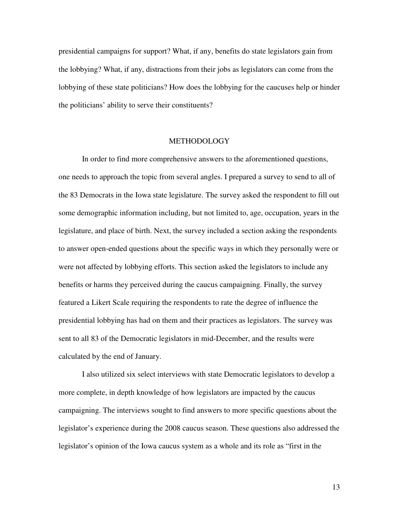presidential campaigns for support? What, if any, benefits do state legislators gain from the lobbying? What, if any, distractions from their jobs as legislators can come from the lobbying of these state politicians? How does the lobbying for the caucuses help or hinder the politicians' ability to serve their constituents?

#### METHODOLOGY

 In order to find more comprehensive answers to the aforementioned questions, one needs to approach the topic from several angles. I prepared a survey to send to all of the 83 Democrats in the Iowa state legislature. The survey asked the respondent to fill out some demographic information including, but not limited to, age, occupation, years in the legislature, and place of birth. Next, the survey included a section asking the respondents to answer open-ended questions about the specific ways in which they personally were or were not affected by lobbying efforts. This section asked the legislators to include any benefits or harms they perceived during the caucus campaigning. Finally, the survey featured a Likert Scale requiring the respondents to rate the degree of influence the presidential lobbying has had on them and their practices as legislators. The survey was sent to all 83 of the Democratic legislators in mid-December, and the results were calculated by the end of January.

 I also utilized six select interviews with state Democratic legislators to develop a more complete, in depth knowledge of how legislators are impacted by the caucus campaigning. The interviews sought to find answers to more specific questions about the legislator's experience during the 2008 caucus season. These questions also addressed the legislator's opinion of the Iowa caucus system as a whole and its role as "first in the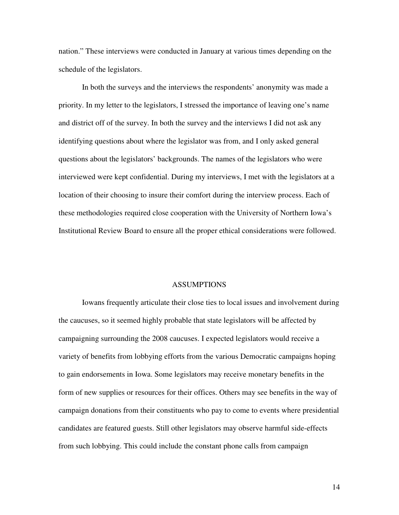nation." These interviews were conducted in January at various times depending on the schedule of the legislators.

In both the surveys and the interviews the respondents' anonymity was made a priority. In my letter to the legislators, I stressed the importance of leaving one's name and district off of the survey. In both the survey and the interviews I did not ask any identifying questions about where the legislator was from, and I only asked general questions about the legislators' backgrounds. The names of the legislators who were interviewed were kept confidential. During my interviews, I met with the legislators at a location of their choosing to insure their comfort during the interview process. Each of these methodologies required close cooperation with the University of Northern Iowa's Institutional Review Board to ensure all the proper ethical considerations were followed.

#### ASSUMPTIONS

 Iowans frequently articulate their close ties to local issues and involvement during the caucuses, so it seemed highly probable that state legislators will be affected by campaigning surrounding the 2008 caucuses. I expected legislators would receive a variety of benefits from lobbying efforts from the various Democratic campaigns hoping to gain endorsements in Iowa. Some legislators may receive monetary benefits in the form of new supplies or resources for their offices. Others may see benefits in the way of campaign donations from their constituents who pay to come to events where presidential candidates are featured guests. Still other legislators may observe harmful side-effects from such lobbying. This could include the constant phone calls from campaign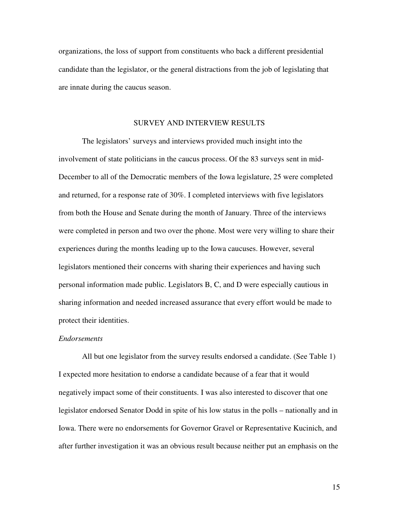organizations, the loss of support from constituents who back a different presidential candidate than the legislator, or the general distractions from the job of legislating that are innate during the caucus season.

#### SURVEY AND INTERVIEW RESULTS

 The legislators' surveys and interviews provided much insight into the involvement of state politicians in the caucus process. Of the 83 surveys sent in mid-December to all of the Democratic members of the Iowa legislature, 25 were completed and returned, for a response rate of 30%. I completed interviews with five legislators from both the House and Senate during the month of January. Three of the interviews were completed in person and two over the phone. Most were very willing to share their experiences during the months leading up to the Iowa caucuses. However, several legislators mentioned their concerns with sharing their experiences and having such personal information made public. Legislators B, C, and D were especially cautious in sharing information and needed increased assurance that every effort would be made to protect their identities.

#### *Endorsements*

All but one legislator from the survey results endorsed a candidate. (See Table 1) I expected more hesitation to endorse a candidate because of a fear that it would negatively impact some of their constituents. I was also interested to discover that one legislator endorsed Senator Dodd in spite of his low status in the polls – nationally and in Iowa. There were no endorsements for Governor Gravel or Representative Kucinich, and after further investigation it was an obvious result because neither put an emphasis on the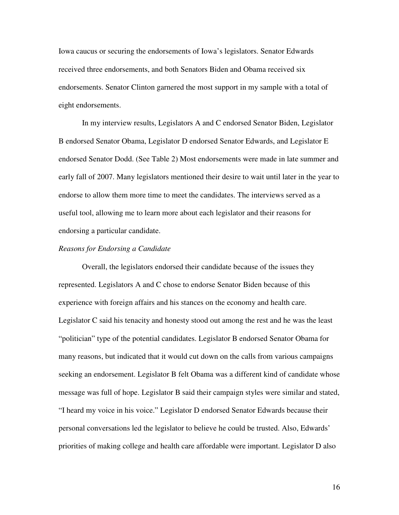Iowa caucus or securing the endorsements of Iowa's legislators. Senator Edwards received three endorsements, and both Senators Biden and Obama received six endorsements. Senator Clinton garnered the most support in my sample with a total of eight endorsements.

In my interview results, Legislators A and C endorsed Senator Biden, Legislator B endorsed Senator Obama, Legislator D endorsed Senator Edwards, and Legislator E endorsed Senator Dodd. (See Table 2) Most endorsements were made in late summer and early fall of 2007. Many legislators mentioned their desire to wait until later in the year to endorse to allow them more time to meet the candidates. The interviews served as a useful tool, allowing me to learn more about each legislator and their reasons for endorsing a particular candidate.

#### *Reasons for Endorsing a Candidate*

 Overall, the legislators endorsed their candidate because of the issues they represented. Legislators A and C chose to endorse Senator Biden because of this experience with foreign affairs and his stances on the economy and health care. Legislator C said his tenacity and honesty stood out among the rest and he was the least "politician" type of the potential candidates. Legislator B endorsed Senator Obama for many reasons, but indicated that it would cut down on the calls from various campaigns seeking an endorsement. Legislator B felt Obama was a different kind of candidate whose message was full of hope. Legislator B said their campaign styles were similar and stated, "I heard my voice in his voice." Legislator D endorsed Senator Edwards because their personal conversations led the legislator to believe he could be trusted. Also, Edwards' priorities of making college and health care affordable were important. Legislator D also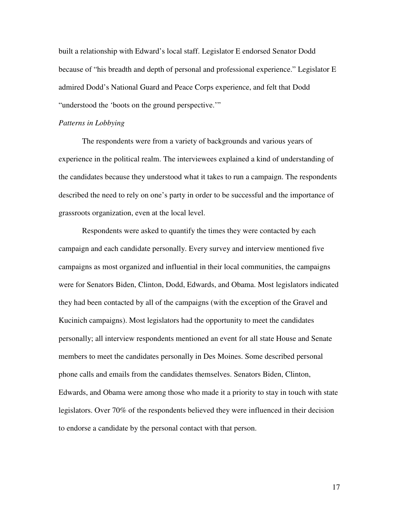built a relationship with Edward's local staff. Legislator E endorsed Senator Dodd because of "his breadth and depth of personal and professional experience." Legislator E admired Dodd's National Guard and Peace Corps experience, and felt that Dodd "understood the 'boots on the ground perspective.'"

#### *Patterns in Lobbying*

 The respondents were from a variety of backgrounds and various years of experience in the political realm. The interviewees explained a kind of understanding of the candidates because they understood what it takes to run a campaign. The respondents described the need to rely on one's party in order to be successful and the importance of grassroots organization, even at the local level.

 Respondents were asked to quantify the times they were contacted by each campaign and each candidate personally. Every survey and interview mentioned five campaigns as most organized and influential in their local communities, the campaigns were for Senators Biden, Clinton, Dodd, Edwards, and Obama. Most legislators indicated they had been contacted by all of the campaigns (with the exception of the Gravel and Kucinich campaigns). Most legislators had the opportunity to meet the candidates personally; all interview respondents mentioned an event for all state House and Senate members to meet the candidates personally in Des Moines. Some described personal phone calls and emails from the candidates themselves. Senators Biden, Clinton, Edwards, and Obama were among those who made it a priority to stay in touch with state legislators. Over 70% of the respondents believed they were influenced in their decision to endorse a candidate by the personal contact with that person.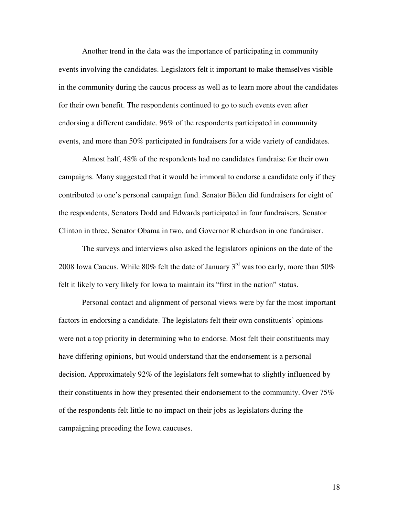Another trend in the data was the importance of participating in community events involving the candidates. Legislators felt it important to make themselves visible in the community during the caucus process as well as to learn more about the candidates for their own benefit. The respondents continued to go to such events even after endorsing a different candidate. 96% of the respondents participated in community events, and more than 50% participated in fundraisers for a wide variety of candidates.

 Almost half, 48% of the respondents had no candidates fundraise for their own campaigns. Many suggested that it would be immoral to endorse a candidate only if they contributed to one's personal campaign fund. Senator Biden did fundraisers for eight of the respondents, Senators Dodd and Edwards participated in four fundraisers, Senator Clinton in three, Senator Obama in two, and Governor Richardson in one fundraiser.

The surveys and interviews also asked the legislators opinions on the date of the 2008 Iowa Caucus. While 80% felt the date of January  $3<sup>rd</sup>$  was too early, more than 50% felt it likely to very likely for Iowa to maintain its "first in the nation" status.

 Personal contact and alignment of personal views were by far the most important factors in endorsing a candidate. The legislators felt their own constituents' opinions were not a top priority in determining who to endorse. Most felt their constituents may have differing opinions, but would understand that the endorsement is a personal decision. Approximately 92% of the legislators felt somewhat to slightly influenced by their constituents in how they presented their endorsement to the community. Over 75% of the respondents felt little to no impact on their jobs as legislators during the campaigning preceding the Iowa caucuses.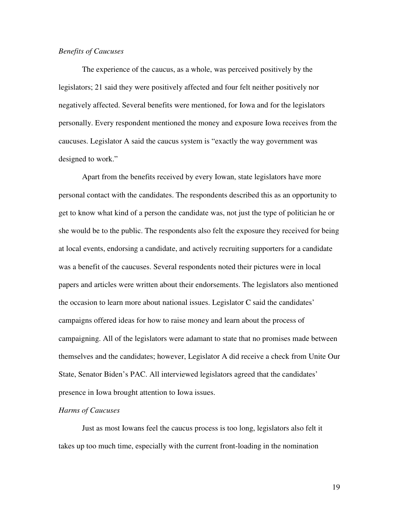#### *Benefits of Caucuses*

 The experience of the caucus, as a whole, was perceived positively by the legislators; 21 said they were positively affected and four felt neither positively nor negatively affected. Several benefits were mentioned, for Iowa and for the legislators personally. Every respondent mentioned the money and exposure Iowa receives from the caucuses. Legislator A said the caucus system is "exactly the way government was designed to work."

 Apart from the benefits received by every Iowan, state legislators have more personal contact with the candidates. The respondents described this as an opportunity to get to know what kind of a person the candidate was, not just the type of politician he or she would be to the public. The respondents also felt the exposure they received for being at local events, endorsing a candidate, and actively recruiting supporters for a candidate was a benefit of the caucuses. Several respondents noted their pictures were in local papers and articles were written about their endorsements. The legislators also mentioned the occasion to learn more about national issues. Legislator C said the candidates' campaigns offered ideas for how to raise money and learn about the process of campaigning. All of the legislators were adamant to state that no promises made between themselves and the candidates; however, Legislator A did receive a check from Unite Our State, Senator Biden's PAC. All interviewed legislators agreed that the candidates' presence in Iowa brought attention to Iowa issues.

#### *Harms of Caucuses*

 Just as most Iowans feel the caucus process is too long, legislators also felt it takes up too much time, especially with the current front-loading in the nomination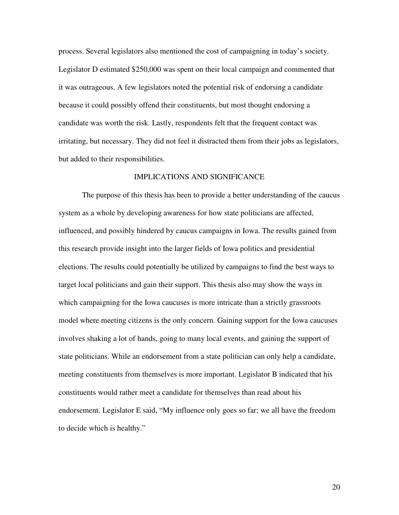process. Several legislators also mentioned the cost of campaigning in today's society. Legislator D estimated \$250,000 was spent on their local campaign and commented that it was outrageous. A few legislators noted the potential risk of endorsing a candidate because it could possibly offend their constituents, but most thought endorsing a candidate was worth the risk. Lastly, respondents felt that the frequent contact was irritating, but necessary. They did not feel it distracted them from their jobs as legislators, but added to their responsibilities.

## IMPLICATIONS AND SIGNIFICANCE

The purpose of this thesis has been to provide a better understanding of the caucus system as a whole by developing awareness for how state politicians are affected, influenced, and possibly hindered by caucus campaigns in Iowa. The results gained from this research provide insight into the larger fields of Iowa politics and presidential elections. The results could potentially be utilized by campaigns to find the best ways to target local politicians and gain their support. This thesis also may show the ways in which campaigning for the Iowa caucuses is more intricate than a strictly grassroots model where meeting citizens is the only concern. Gaining support for the Iowa caucuses involves shaking a lot of hands, going to many local events, and gaining the support of state politicians. While an endorsement from a state politician can only help a candidate, meeting constituents from themselves is more important. Legislator B indicated that his constituents would rather meet a candidate for themselves than read about his endorsement. Legislator E said, "My influence only goes so far; we all have the freedom to decide which is healthy."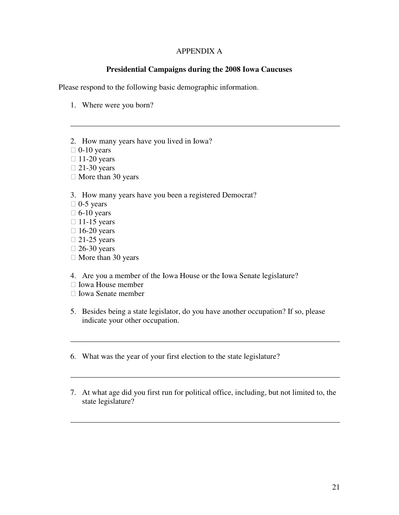## APPENDIX A

## **Presidential Campaigns during the 2008 Iowa Caucuses**

\_\_\_\_\_\_\_\_\_\_\_\_\_\_\_\_\_\_\_\_\_\_\_\_\_\_\_\_\_\_\_\_\_\_\_\_\_\_\_\_\_\_\_\_\_\_\_\_\_\_\_\_\_\_\_\_\_\_\_\_\_\_\_\_\_\_\_\_\_

Please respond to the following basic demographic information.

- 1. Where were you born?
- 2. How many years have you lived in Iowa? 0-10 years 11-20 years 21-30 years More than 30 years
- 3. How many years have you been a registered Democrat? 0-5 years 6-10 years 11-15 years 16-20 years 21-25 years 26-30 years More than 30 years
- 4. Are you a member of the Iowa House or the Iowa Senate legislature? Iowa House member Iowa Senate member
- 5. Besides being a state legislator, do you have another occupation? If so, please indicate your other occupation.

\_\_\_\_\_\_\_\_\_\_\_\_\_\_\_\_\_\_\_\_\_\_\_\_\_\_\_\_\_\_\_\_\_\_\_\_\_\_\_\_\_\_\_\_\_\_\_\_\_\_\_\_\_\_\_\_\_\_\_\_\_\_\_\_\_\_\_\_\_

\_\_\_\_\_\_\_\_\_\_\_\_\_\_\_\_\_\_\_\_\_\_\_\_\_\_\_\_\_\_\_\_\_\_\_\_\_\_\_\_\_\_\_\_\_\_\_\_\_\_\_\_\_\_\_\_\_\_\_\_\_\_\_\_\_\_\_\_\_

- 6. What was the year of your first election to the state legislature?
- 7. At what age did you first run for political office, including, but not limited to, the state legislature?

\_\_\_\_\_\_\_\_\_\_\_\_\_\_\_\_\_\_\_\_\_\_\_\_\_\_\_\_\_\_\_\_\_\_\_\_\_\_\_\_\_\_\_\_\_\_\_\_\_\_\_\_\_\_\_\_\_\_\_\_\_\_\_\_\_\_\_\_\_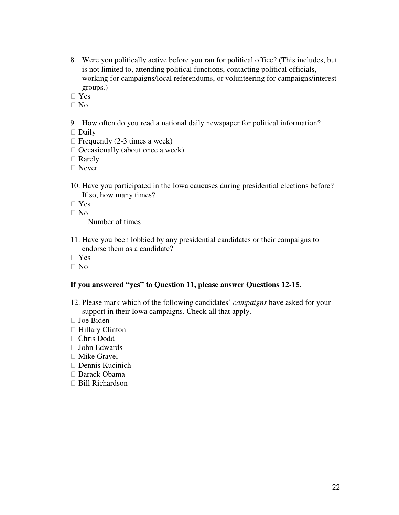8. Were you politically active before you ran for political office? (This includes, but is not limited to, attending political functions, contacting political officials, working for campaigns/local referendums, or volunteering for campaigns/interest groups.) Yes

No

9. How often do you read a national daily newspaper for political information? Daily Frequently (2-3 times a week) Occasionally (about once a week) Rarely

Never

10. Have you participated in the Iowa caucuses during presidential elections before? If so, how many times?

 Yes No

\_\_\_\_ Number of times

11. Have you been lobbied by any presidential candidates or their campaigns to endorse them as a candidate? Yes No

## **If you answered "yes" to Question 11, please answer Questions 12-15.**

12. Please mark which of the following candidates' *campaigns* have asked for your support in their Iowa campaigns. Check all that apply. Joe Biden Hillary Clinton Chris Dodd John Edwards Mike Gravel Dennis Kucinich Barack Obama Bill Richardson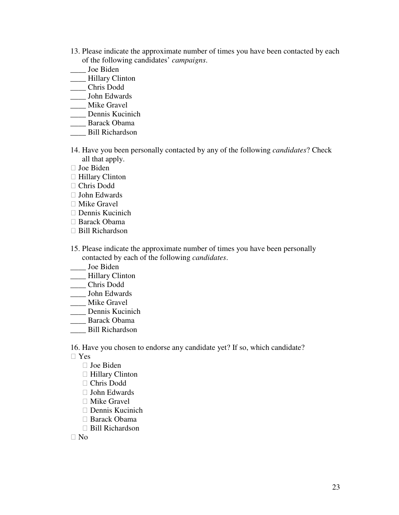- 13. Please indicate the approximate number of times you have been contacted by each of the following candidates' *campaigns*.
- \_\_\_\_ Joe Biden
- \_\_\_\_ Hillary Clinton
- \_\_\_\_ Chris Dodd
- \_\_\_\_ John Edwards
- \_\_\_\_ Mike Gravel
- \_\_\_\_ Dennis Kucinich
- \_\_\_\_ Barack Obama
- \_\_\_\_ Bill Richardson
- 14. Have you been personally contacted by any of the following *candidates*? Check all that apply.

 Joe Biden Hillary Clinton Chris Dodd John Edwards Mike Gravel Dennis Kucinich Barack Obama Bill Richardson

- 15. Please indicate the approximate number of times you have been personally contacted by each of the following *candidates*.
- \_\_\_\_ Joe Biden
- \_\_\_\_ Hillary Clinton
- \_\_\_\_ Chris Dodd
- \_\_\_\_ John Edwards
- \_\_\_\_ Mike Gravel
- \_\_\_\_ Dennis Kucinich
- \_\_\_\_ Barack Obama
- \_\_\_\_ Bill Richardson

16. Have you chosen to endorse any candidate yet? If so, which candidate?

Yes

 Joe Biden Hillary Clinton Chris Dodd John Edwards Mike Gravel Dennis Kucinich Barack Obama Bill Richardson

No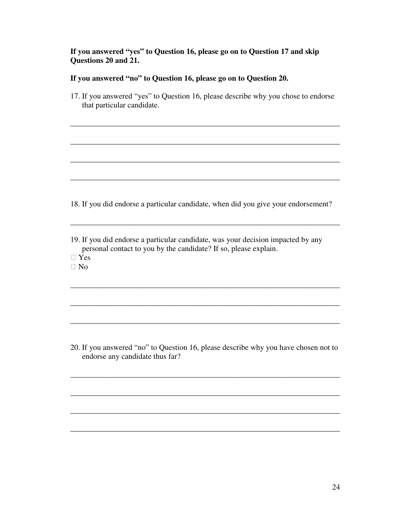## **If you answered "yes" to Question 16, please go on to Question 17 and skip Questions 20 and 21.**

## **If you answered "no" to Question 16, please go on to Question 20.**

17. If you answered "yes" to Question 16, please describe why you chose to endorse that particular candidate.

\_\_\_\_\_\_\_\_\_\_\_\_\_\_\_\_\_\_\_\_\_\_\_\_\_\_\_\_\_\_\_\_\_\_\_\_\_\_\_\_\_\_\_\_\_\_\_\_\_\_\_\_\_\_\_\_\_\_\_\_\_\_\_\_\_\_\_\_\_

\_\_\_\_\_\_\_\_\_\_\_\_\_\_\_\_\_\_\_\_\_\_\_\_\_\_\_\_\_\_\_\_\_\_\_\_\_\_\_\_\_\_\_\_\_\_\_\_\_\_\_\_\_\_\_\_\_\_\_\_\_\_\_\_\_\_\_\_\_

\_\_\_\_\_\_\_\_\_\_\_\_\_\_\_\_\_\_\_\_\_\_\_\_\_\_\_\_\_\_\_\_\_\_\_\_\_\_\_\_\_\_\_\_\_\_\_\_\_\_\_\_\_\_\_\_\_\_\_\_\_\_\_\_\_\_\_\_\_

\_\_\_\_\_\_\_\_\_\_\_\_\_\_\_\_\_\_\_\_\_\_\_\_\_\_\_\_\_\_\_\_\_\_\_\_\_\_\_\_\_\_\_\_\_\_\_\_\_\_\_\_\_\_\_\_\_\_\_\_\_\_\_\_\_\_\_\_\_

18. If you did endorse a particular candidate, when did you give your endorsement?

\_\_\_\_\_\_\_\_\_\_\_\_\_\_\_\_\_\_\_\_\_\_\_\_\_\_\_\_\_\_\_\_\_\_\_\_\_\_\_\_\_\_\_\_\_\_\_\_\_\_\_\_\_\_\_\_\_\_\_\_\_\_\_\_\_\_\_\_\_

\_\_\_\_\_\_\_\_\_\_\_\_\_\_\_\_\_\_\_\_\_\_\_\_\_\_\_\_\_\_\_\_\_\_\_\_\_\_\_\_\_\_\_\_\_\_\_\_\_\_\_\_\_\_\_\_\_\_\_\_\_\_\_\_\_\_\_\_\_

19. If you did endorse a particular candidate, was your decision impacted by any personal contact to you by the candidate? If so, please explain. Yes No

20. If you answered "no" to Question 16, please describe why you have chosen not to endorse any candidate thus far?

\_\_\_\_\_\_\_\_\_\_\_\_\_\_\_\_\_\_\_\_\_\_\_\_\_\_\_\_\_\_\_\_\_\_\_\_\_\_\_\_\_\_\_\_\_\_\_\_\_\_\_\_\_\_\_\_\_\_\_\_\_\_\_\_\_\_\_\_\_

\_\_\_\_\_\_\_\_\_\_\_\_\_\_\_\_\_\_\_\_\_\_\_\_\_\_\_\_\_\_\_\_\_\_\_\_\_\_\_\_\_\_\_\_\_\_\_\_\_\_\_\_\_\_\_\_\_\_\_\_\_\_\_\_\_\_\_\_\_

\_\_\_\_\_\_\_\_\_\_\_\_\_\_\_\_\_\_\_\_\_\_\_\_\_\_\_\_\_\_\_\_\_\_\_\_\_\_\_\_\_\_\_\_\_\_\_\_\_\_\_\_\_\_\_\_\_\_\_\_\_\_\_\_\_\_\_\_\_

\_\_\_\_\_\_\_\_\_\_\_\_\_\_\_\_\_\_\_\_\_\_\_\_\_\_\_\_\_\_\_\_\_\_\_\_\_\_\_\_\_\_\_\_\_\_\_\_\_\_\_\_\_\_\_\_\_\_\_\_\_\_\_\_\_\_\_\_\_

\_\_\_\_\_\_\_\_\_\_\_\_\_\_\_\_\_\_\_\_\_\_\_\_\_\_\_\_\_\_\_\_\_\_\_\_\_\_\_\_\_\_\_\_\_\_\_\_\_\_\_\_\_\_\_\_\_\_\_\_\_\_\_\_\_\_\_\_\_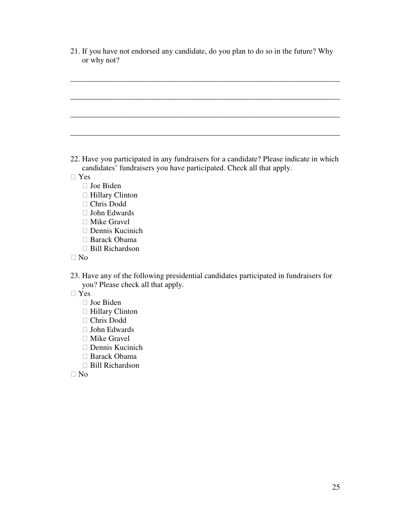21. If you have not endorsed any candidate, do you plan to do so in the future? Why or why not?

\_\_\_\_\_\_\_\_\_\_\_\_\_\_\_\_\_\_\_\_\_\_\_\_\_\_\_\_\_\_\_\_\_\_\_\_\_\_\_\_\_\_\_\_\_\_\_\_\_\_\_\_\_\_\_\_\_\_\_\_\_\_\_\_\_\_\_\_\_

\_\_\_\_\_\_\_\_\_\_\_\_\_\_\_\_\_\_\_\_\_\_\_\_\_\_\_\_\_\_\_\_\_\_\_\_\_\_\_\_\_\_\_\_\_\_\_\_\_\_\_\_\_\_\_\_\_\_\_\_\_\_\_\_\_\_\_\_\_

\_\_\_\_\_\_\_\_\_\_\_\_\_\_\_\_\_\_\_\_\_\_\_\_\_\_\_\_\_\_\_\_\_\_\_\_\_\_\_\_\_\_\_\_\_\_\_\_\_\_\_\_\_\_\_\_\_\_\_\_\_\_\_\_\_\_\_\_\_

\_\_\_\_\_\_\_\_\_\_\_\_\_\_\_\_\_\_\_\_\_\_\_\_\_\_\_\_\_\_\_\_\_\_\_\_\_\_\_\_\_\_\_\_\_\_\_\_\_\_\_\_\_\_\_\_\_\_\_\_\_\_\_\_\_\_\_\_\_

22. Have you participated in any fundraisers for a candidate? Please indicate in which candidates' fundraisers you have participated. Check all that apply.

Yes

 Joe Biden Hillary Clinton Chris Dodd John Edwards Mike Gravel Dennis Kucinich Barack Obama Bill Richardson

No

23. Have any of the following presidential candidates participated in fundraisers for you? Please check all that apply.

Yes

 Joe Biden Hillary Clinton Chris Dodd John Edwards Mike Gravel Dennis Kucinich Barack Obama Bill Richardson

No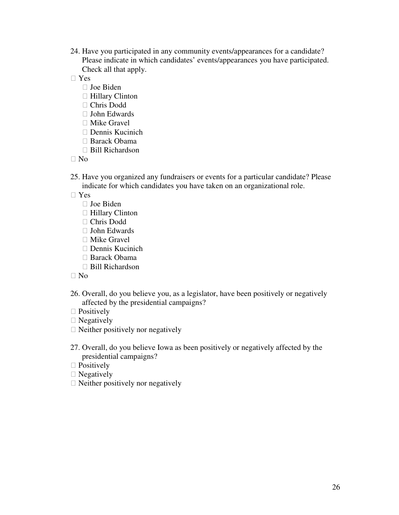24. Have you participated in any community events/appearances for a candidate? Please indicate in which candidates' events/appearances you have participated. Check all that apply.

Yes

 Joe Biden Hillary Clinton Chris Dodd John Edwards Mike Gravel Dennis Kucinich Barack Obama Bill Richardson

No

25. Have you organized any fundraisers or events for a particular candidate? Please indicate for which candidates you have taken on an organizational role.

Yes

 Joe Biden Hillary Clinton Chris Dodd John Edwards Mike Gravel Dennis Kucinich Barack Obama Bill Richardson

No

- 26. Overall, do you believe you, as a legislator, have been positively or negatively affected by the presidential campaigns? Positively Negatively Neither positively nor negatively
- 27. Overall, do you believe Iowa as been positively or negatively affected by the presidential campaigns? Positively Negatively Neither positively nor negatively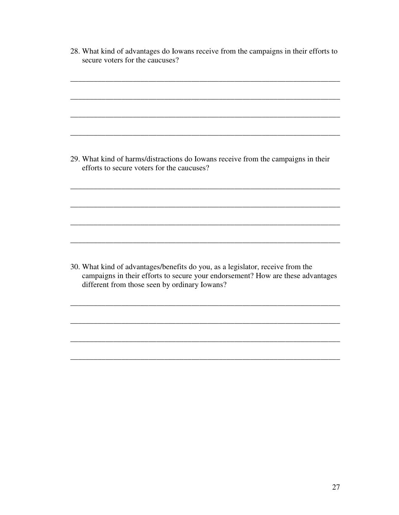| 28. What kind of advantages do Iowans receive from the campaigns in their efforts to |
|--------------------------------------------------------------------------------------|
| secure voters for the caucuses?                                                      |

\_\_\_\_\_\_\_\_\_\_\_\_\_\_\_\_\_\_\_\_\_\_\_\_\_\_\_\_\_\_\_\_\_\_\_\_\_\_\_\_\_\_\_\_\_\_\_\_\_\_\_\_\_\_\_\_\_\_\_\_\_\_\_\_\_\_\_\_\_

\_\_\_\_\_\_\_\_\_\_\_\_\_\_\_\_\_\_\_\_\_\_\_\_\_\_\_\_\_\_\_\_\_\_\_\_\_\_\_\_\_\_\_\_\_\_\_\_\_\_\_\_\_\_\_\_\_\_\_\_\_\_\_\_\_\_\_\_\_

\_\_\_\_\_\_\_\_\_\_\_\_\_\_\_\_\_\_\_\_\_\_\_\_\_\_\_\_\_\_\_\_\_\_\_\_\_\_\_\_\_\_\_\_\_\_\_\_\_\_\_\_\_\_\_\_\_\_\_\_\_\_\_\_\_\_\_\_\_

\_\_\_\_\_\_\_\_\_\_\_\_\_\_\_\_\_\_\_\_\_\_\_\_\_\_\_\_\_\_\_\_\_\_\_\_\_\_\_\_\_\_\_\_\_\_\_\_\_\_\_\_\_\_\_\_\_\_\_\_\_\_\_\_\_\_\_\_\_

29. What kind of harms/distractions do Iowans receive from the campaigns in their efforts to secure voters for the caucuses?

\_\_\_\_\_\_\_\_\_\_\_\_\_\_\_\_\_\_\_\_\_\_\_\_\_\_\_\_\_\_\_\_\_\_\_\_\_\_\_\_\_\_\_\_\_\_\_\_\_\_\_\_\_\_\_\_\_\_\_\_\_\_\_\_\_\_\_\_\_

\_\_\_\_\_\_\_\_\_\_\_\_\_\_\_\_\_\_\_\_\_\_\_\_\_\_\_\_\_\_\_\_\_\_\_\_\_\_\_\_\_\_\_\_\_\_\_\_\_\_\_\_\_\_\_\_\_\_\_\_\_\_\_\_\_\_\_\_\_

\_\_\_\_\_\_\_\_\_\_\_\_\_\_\_\_\_\_\_\_\_\_\_\_\_\_\_\_\_\_\_\_\_\_\_\_\_\_\_\_\_\_\_\_\_\_\_\_\_\_\_\_\_\_\_\_\_\_\_\_\_\_\_\_\_\_\_\_\_

\_\_\_\_\_\_\_\_\_\_\_\_\_\_\_\_\_\_\_\_\_\_\_\_\_\_\_\_\_\_\_\_\_\_\_\_\_\_\_\_\_\_\_\_\_\_\_\_\_\_\_\_\_\_\_\_\_\_\_\_\_\_\_\_\_\_\_\_\_

30. What kind of advantages/benefits do you, as a legislator, receive from the campaigns in their efforts to secure your endorsement? How are these advantages different from those seen by ordinary Iowans?

\_\_\_\_\_\_\_\_\_\_\_\_\_\_\_\_\_\_\_\_\_\_\_\_\_\_\_\_\_\_\_\_\_\_\_\_\_\_\_\_\_\_\_\_\_\_\_\_\_\_\_\_\_\_\_\_\_\_\_\_\_\_\_\_\_\_\_\_\_

\_\_\_\_\_\_\_\_\_\_\_\_\_\_\_\_\_\_\_\_\_\_\_\_\_\_\_\_\_\_\_\_\_\_\_\_\_\_\_\_\_\_\_\_\_\_\_\_\_\_\_\_\_\_\_\_\_\_\_\_\_\_\_\_\_\_\_\_\_

\_\_\_\_\_\_\_\_\_\_\_\_\_\_\_\_\_\_\_\_\_\_\_\_\_\_\_\_\_\_\_\_\_\_\_\_\_\_\_\_\_\_\_\_\_\_\_\_\_\_\_\_\_\_\_\_\_\_\_\_\_\_\_\_\_\_\_\_\_

\_\_\_\_\_\_\_\_\_\_\_\_\_\_\_\_\_\_\_\_\_\_\_\_\_\_\_\_\_\_\_\_\_\_\_\_\_\_\_\_\_\_\_\_\_\_\_\_\_\_\_\_\_\_\_\_\_\_\_\_\_\_\_\_\_\_\_\_\_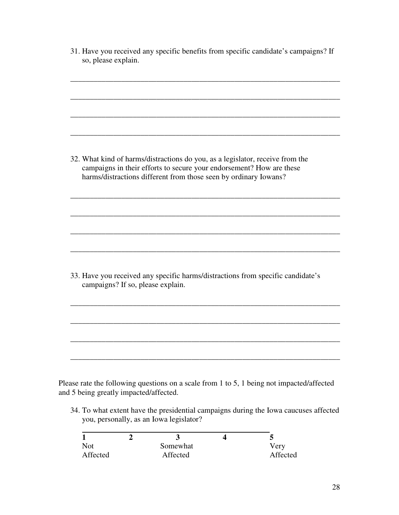| 31. Have you received any specific benefits from specific candidate's campaigns? If<br>so, please explain. |
|------------------------------------------------------------------------------------------------------------|
|                                                                                                            |
|                                                                                                            |
|                                                                                                            |
|                                                                                                            |
|                                                                                                            |
|                                                                                                            |
|                                                                                                            |
| 32. What kind of harms/distractions do you, as a legislator, receive from the                              |
| campaigns in their efforts to secure your endorsement? How are these                                       |
| harms/distractions different from those seen by ordinary Iowans?                                           |
|                                                                                                            |
|                                                                                                            |
|                                                                                                            |
|                                                                                                            |
|                                                                                                            |
|                                                                                                            |
|                                                                                                            |
|                                                                                                            |
| 33. Have you received any specific harms/distractions from specific candidate's                            |
| campaigns? If so, please explain.                                                                          |
|                                                                                                            |
|                                                                                                            |
|                                                                                                            |
|                                                                                                            |
|                                                                                                            |
|                                                                                                            |
|                                                                                                            |

- and 5 being greatly impacted/affected.
	- 34. To what extent have the presidential campaigns during the Iowa caucuses affected you, personally, as an Iowa legislator?

| Not      | Somewhat | Very     |
|----------|----------|----------|
| Affected | Affected | Affected |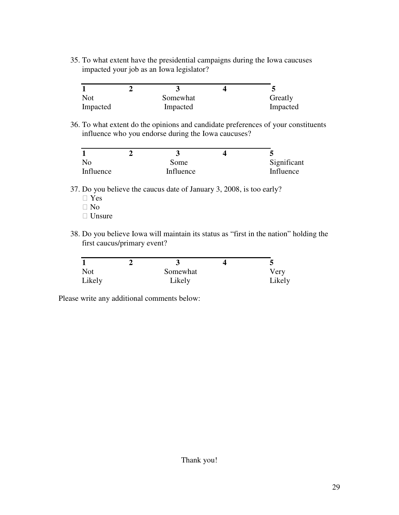35. To what extent have the presidential campaigns during the Iowa caucuses impacted your job as an Iowa legislator?

| Not      | Somewhat | Greatly  |
|----------|----------|----------|
| Impacted | Impacted | Impacted |

36. To what extent do the opinions and candidate preferences of your constituents influence who you endorse during the Iowa caucuses?

| No        | Some      | Significant |
|-----------|-----------|-------------|
| Influence | Influence | Influence   |

- 37. Do you believe the caucus date of January 3, 2008, is too early? Yes No Unsure
- 38. Do you believe Iowa will maintain its status as "first in the nation" holding the first caucus/primary event?

| <b>Not</b> | Somewhat | Very   |
|------------|----------|--------|
| Likely     | Likely   | Likely |

Please write any additional comments below: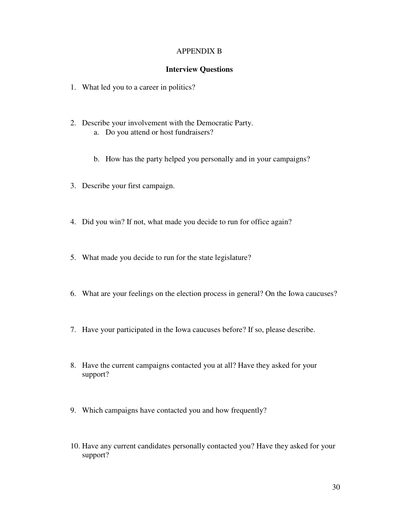## APPENDIX B

## **Interview Questions**

- 1. What led you to a career in politics?
- 2. Describe your involvement with the Democratic Party. a. Do you attend or host fundraisers?
	- b. How has the party helped you personally and in your campaigns?
- 3. Describe your first campaign.
- 4. Did you win? If not, what made you decide to run for office again?
- 5. What made you decide to run for the state legislature?
- 6. What are your feelings on the election process in general? On the Iowa caucuses?
- 7. Have your participated in the Iowa caucuses before? If so, please describe.
- 8. Have the current campaigns contacted you at all? Have they asked for your support?
- 9. Which campaigns have contacted you and how frequently?
- 10. Have any current candidates personally contacted you? Have they asked for your support?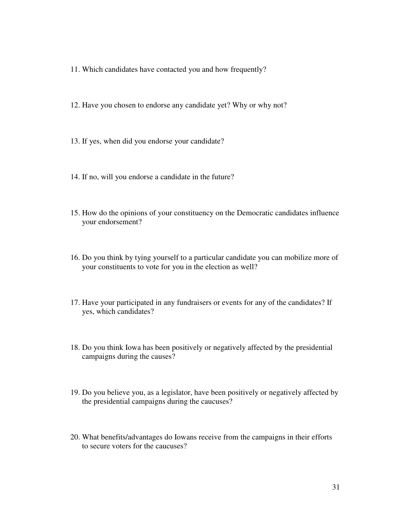- 11. Which candidates have contacted you and how frequently?
- 12. Have you chosen to endorse any candidate yet? Why or why not?
- 13. If yes, when did you endorse your candidate?
- 14. If no, will you endorse a candidate in the future?
- 15. How do the opinions of your constituency on the Democratic candidates influence your endorsement?
- 16. Do you think by tying yourself to a particular candidate you can mobilize more of your constituents to vote for you in the election as well?
- 17. Have your participated in any fundraisers or events for any of the candidates? If yes, which candidates?
- 18. Do you think Iowa has been positively or negatively affected by the presidential campaigns during the causes?
- 19. Do you believe you, as a legislator, have been positively or negatively affected by the presidential campaigns during the caucuses?
- 20. What benefits/advantages do Iowans receive from the campaigns in their efforts to secure voters for the caucuses?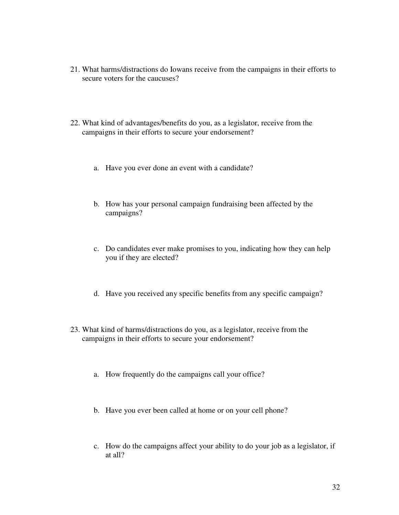- 21. What harms/distractions do Iowans receive from the campaigns in their efforts to secure voters for the caucuses?
- 22. What kind of advantages/benefits do you, as a legislator, receive from the campaigns in their efforts to secure your endorsement?
	- a. Have you ever done an event with a candidate?
	- b. How has your personal campaign fundraising been affected by the campaigns?
	- c. Do candidates ever make promises to you, indicating how they can help you if they are elected?
	- d. Have you received any specific benefits from any specific campaign?
- 23. What kind of harms/distractions do you, as a legislator, receive from the campaigns in their efforts to secure your endorsement?
	- a. How frequently do the campaigns call your office?
	- b. Have you ever been called at home or on your cell phone?
	- c. How do the campaigns affect your ability to do your job as a legislator, if at all?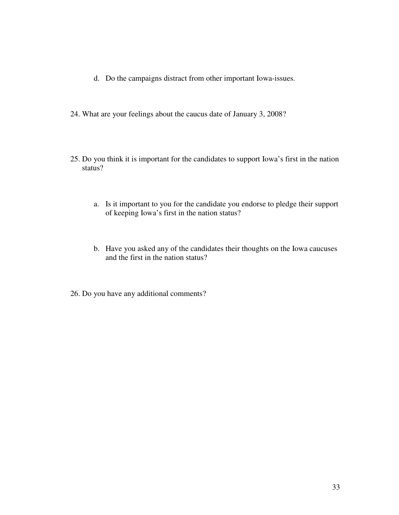- d. Do the campaigns distract from other important Iowa-issues.
- 24. What are your feelings about the caucus date of January 3, 2008?
- 25. Do you think it is important for the candidates to support Iowa's first in the nation status?
	- a. Is it important to you for the candidate you endorse to pledge their support of keeping Iowa's first in the nation status?
	- b. Have you asked any of the candidates their thoughts on the Iowa caucuses and the first in the nation status?
- 26. Do you have any additional comments?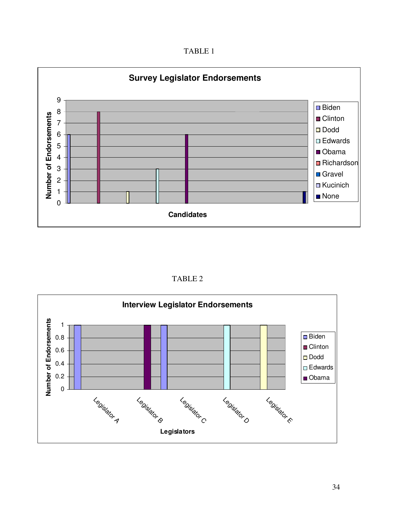TABLE 1



TABLE 2